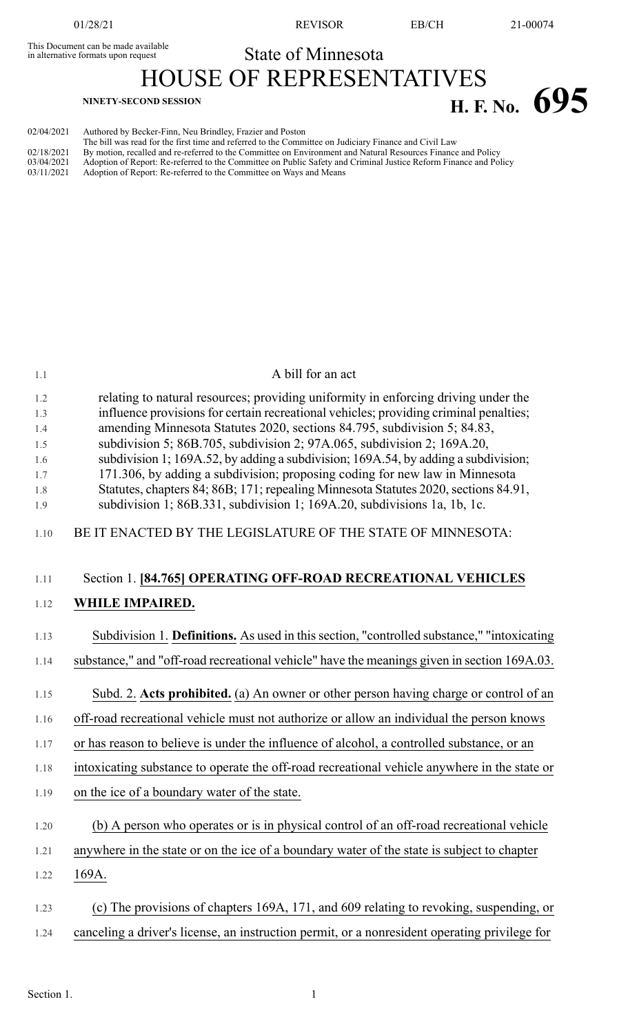This Document can be made available<br>in alternative formats upon request

01/28/21 REVISOR EB/CH 21-00074

# State of Minnesota

HOUSE OF REPRESENTATIVES **H. F.** No. **695** 

| 02/04/2021 | Authored by Becker-Finn, Neu Brindley, Frazier and Poston                                                        |
|------------|------------------------------------------------------------------------------------------------------------------|
|            | The bill was read for the first time and referred to the Committee on Judiciary Finance and Civil Law            |
| 02/18/2021 | By motion, recalled and re-referred to the Committee on Environment and Natural Resources Finance and Policy     |
| 03/04/2021 | Adoption of Report: Re-referred to the Committee on Public Safety and Criminal Justice Reform Finance and Policy |
| 03/11/2021 | Adoption of Report: Re-referred to the Committee on Ways and Means                                               |
|            |                                                                                                                  |

| 1.1                                                  | A bill for an act                                                                                                                                                                                                                                                                                                                                                                                                                                                                                                                                                                                                                                                          |
|------------------------------------------------------|----------------------------------------------------------------------------------------------------------------------------------------------------------------------------------------------------------------------------------------------------------------------------------------------------------------------------------------------------------------------------------------------------------------------------------------------------------------------------------------------------------------------------------------------------------------------------------------------------------------------------------------------------------------------------|
| 1.2<br>1.3<br>1.4<br>1.5<br>1.6<br>1.7<br>1.8<br>1.9 | relating to natural resources; providing uniformity in enforcing driving under the<br>influence provisions for certain recreational vehicles; providing criminal penalties;<br>amending Minnesota Statutes 2020, sections 84.795, subdivision 5; 84.83,<br>subdivision 5; 86B.705, subdivision 2; 97A.065, subdivision 2; 169A.20,<br>subdivision 1; 169A.52, by adding a subdivision; 169A.54, by adding a subdivision;<br>171.306, by adding a subdivision; proposing coding for new law in Minnesota<br>Statutes, chapters 84; 86B; 171; repealing Minnesota Statutes 2020, sections 84.91,<br>subdivision 1; 86B.331, subdivision 1; 169A.20, subdivisions 1a, 1b, 1c. |
| 1.10                                                 | BE IT ENACTED BY THE LEGISLATURE OF THE STATE OF MINNESOTA:                                                                                                                                                                                                                                                                                                                                                                                                                                                                                                                                                                                                                |
| 1.11                                                 | Section 1. [84.765] OPERATING OFF-ROAD RECREATIONAL VEHICLES                                                                                                                                                                                                                                                                                                                                                                                                                                                                                                                                                                                                               |
| 1.12                                                 | WHILE IMPAIRED.                                                                                                                                                                                                                                                                                                                                                                                                                                                                                                                                                                                                                                                            |
| 1.13<br>1.14                                         | Subdivision 1. Definitions. As used in this section, "controlled substance," "intoxicating<br>substance," and "off-road recreational vehicle" have the meanings given in section 169A.03.                                                                                                                                                                                                                                                                                                                                                                                                                                                                                  |
|                                                      |                                                                                                                                                                                                                                                                                                                                                                                                                                                                                                                                                                                                                                                                            |
| 1.15                                                 | Subd. 2. Acts prohibited. (a) An owner or other person having charge or control of an                                                                                                                                                                                                                                                                                                                                                                                                                                                                                                                                                                                      |
| 1.16                                                 | off-road recreational vehicle must not authorize or allow an individual the person knows                                                                                                                                                                                                                                                                                                                                                                                                                                                                                                                                                                                   |
| 1.17                                                 | or has reason to believe is under the influence of alcohol, a controlled substance, or an                                                                                                                                                                                                                                                                                                                                                                                                                                                                                                                                                                                  |
| 1.18                                                 | intoxicating substance to operate the off-road recreational vehicle anywhere in the state or                                                                                                                                                                                                                                                                                                                                                                                                                                                                                                                                                                               |
| 1.19                                                 | on the ice of a boundary water of the state.                                                                                                                                                                                                                                                                                                                                                                                                                                                                                                                                                                                                                               |
| 1.20                                                 | (b) A person who operates or is in physical control of an off-road recreational vehicle                                                                                                                                                                                                                                                                                                                                                                                                                                                                                                                                                                                    |
| 1.21                                                 | anywhere in the state or on the ice of a boundary water of the state is subject to chapter                                                                                                                                                                                                                                                                                                                                                                                                                                                                                                                                                                                 |
| 1.22                                                 | 169A.                                                                                                                                                                                                                                                                                                                                                                                                                                                                                                                                                                                                                                                                      |
| 1.23                                                 | (c) The provisions of chapters 169A, 171, and 609 relating to revoking, suspending, or                                                                                                                                                                                                                                                                                                                                                                                                                                                                                                                                                                                     |
| 1.24                                                 | canceling a driver's license, an instruction permit, or a nonresident operating privilege for                                                                                                                                                                                                                                                                                                                                                                                                                                                                                                                                                                              |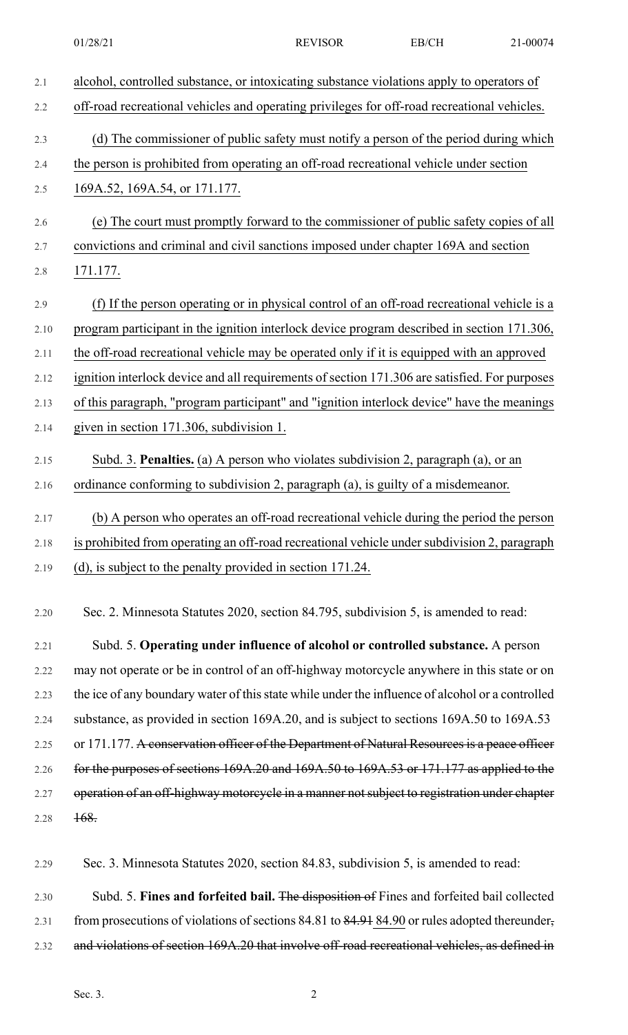| 2.1  | alcohol, controlled substance, or intoxicating substance violations apply to operators of        |
|------|--------------------------------------------------------------------------------------------------|
| 2.2  | off-road recreational vehicles and operating privileges for off-road recreational vehicles.      |
| 2.3  | (d) The commissioner of public safety must notify a person of the period during which            |
| 2.4  | the person is prohibited from operating an off-road recreational vehicle under section           |
| 2.5  | 169A.52, 169A.54, or 171.177.                                                                    |
| 2.6  | (e) The court must promptly forward to the commissioner of public safety copies of all           |
| 2.7  | convictions and criminal and civil sanctions imposed under chapter 169A and section              |
| 2.8  | 171.177.                                                                                         |
| 2.9  | (f) If the person operating or in physical control of an off-road recreational vehicle is a      |
| 2.10 | program participant in the ignition interlock device program described in section 171.306,       |
| 2.11 | the off-road recreational vehicle may be operated only if it is equipped with an approved        |
| 2.12 | ignition interlock device and all requirements of section 171.306 are satisfied. For purposes    |
| 2.13 | of this paragraph, "program participant" and "ignition interlock device" have the meanings       |
| 2.14 | given in section 171.306, subdivision 1.                                                         |
| 2.15 | Subd. 3. Penalties. (a) A person who violates subdivision 2, paragraph (a), or an                |
| 2.16 | ordinance conforming to subdivision 2, paragraph (a), is guilty of a misdemeanor.                |
| 2.17 | (b) A person who operates an off-road recreational vehicle during the period the person          |
| 2.18 | is prohibited from operating an off-road recreational vehicle under subdivision 2, paragraph     |
| 2.19 | (d), is subject to the penalty provided in section 171.24.                                       |
| 2.20 | Sec. 2. Minnesota Statutes 2020, section 84.795, subdivision 5, is amended to read:              |
| 2.21 | Subd. 5. Operating under influence of alcohol or controlled substance. A person                  |
| 2.22 | may not operate or be in control of an off-highway motorcycle anywhere in this state or on       |
| 2.23 | the ice of any boundary water of this state while under the influence of alcohol or a controlled |
| 2.24 | substance, as provided in section 169A.20, and is subject to sections 169A.50 to 169A.53         |
| 2.25 | or 171.177. A conservation officer of the Department of Natural Resources is a peace officer     |
| 2.26 | for the purposes of sections 169A.20 and 169A.50 to 169A.53 or 171.177 as applied to the         |

2.27 operation of an off-highway motorcycle in a manner not subject to registration under chapter 2.28 168.

2.29 Sec. 3. Minnesota Statutes 2020, section 84.83, subdivision 5, is amended to read:

2.30 Subd. 5. **Fines and forfeited bail.** The disposition of Fines and forfeited bail collected 2.31 from prosecutions of violations of sections 84.81 to 84.91 84.90 or rules adopted thereunder, 2.32 and violations of section 169A.20 that involve off-road recreational vehicles, as defined in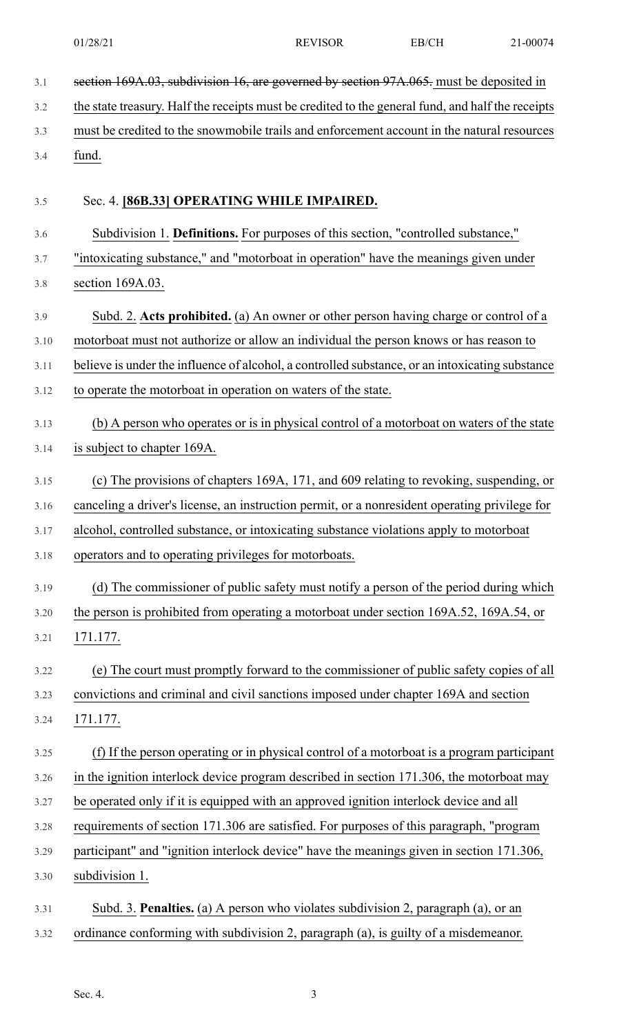| 3.1  | section 169A.03, subdivision 16, are governed by section 97A.065. must be deposited in            |
|------|---------------------------------------------------------------------------------------------------|
| 3.2  | the state treasury. Half the receipts must be credited to the general fund, and half the receipts |
| 3.3  | must be credited to the snowmobile trails and enforcement account in the natural resources        |
| 3.4  | fund.                                                                                             |
|      |                                                                                                   |
| 3.5  | Sec. 4. [86B.33] OPERATING WHILE IMPAIRED.                                                        |
| 3.6  | Subdivision 1. Definitions. For purposes of this section, "controlled substance,"                 |
| 3.7  | "intoxicating substance," and "motorboat in operation" have the meanings given under              |
| 3.8  | section 169A.03.                                                                                  |
| 3.9  | Subd. 2. Acts prohibited. (a) An owner or other person having charge or control of a              |
| 3.10 | motorboat must not authorize or allow an individual the person knows or has reason to             |
| 3.11 | believe is under the influence of alcohol, a controlled substance, or an intoxicating substance   |
| 3.12 | to operate the motorboat in operation on waters of the state.                                     |
| 3.13 | (b) A person who operates or is in physical control of a motorboat on waters of the state         |
| 3.14 | is subject to chapter 169A.                                                                       |
| 3.15 | (c) The provisions of chapters 169A, 171, and 609 relating to revoking, suspending, or            |
| 3.16 | canceling a driver's license, an instruction permit, or a nonresident operating privilege for     |
| 3.17 | alcohol, controlled substance, or intoxicating substance violations apply to motorboat            |
| 3.18 | operators and to operating privileges for motorboats.                                             |
| 3.19 | (d) The commissioner of public safety must notify a person of the period during which             |
| 3.20 | the person is prohibited from operating a motorboat under section 169A.52, 169A.54, or            |
| 3.21 | 171.177.                                                                                          |
| 3.22 | (e) The court must promptly forward to the commissioner of public safety copies of all            |
| 3.23 | convictions and criminal and civil sanctions imposed under chapter 169A and section               |
| 3.24 | 171.177.                                                                                          |
| 3.25 | (f) If the person operating or in physical control of a motorboat is a program participant        |
| 3.26 | in the ignition interlock device program described in section 171.306, the motorboat may          |
| 3.27 | be operated only if it is equipped with an approved ignition interlock device and all             |
| 3.28 | requirements of section 171.306 are satisfied. For purposes of this paragraph, "program           |
| 3.29 | participant" and "ignition interlock device" have the meanings given in section 171.306,          |
| 3.30 | subdivision 1.                                                                                    |
| 3.31 | Subd. 3. Penalties. (a) A person who violates subdivision 2, paragraph (a), or an                 |
| 3.32 | ordinance conforming with subdivision 2, paragraph (a), is guilty of a misdemeanor.               |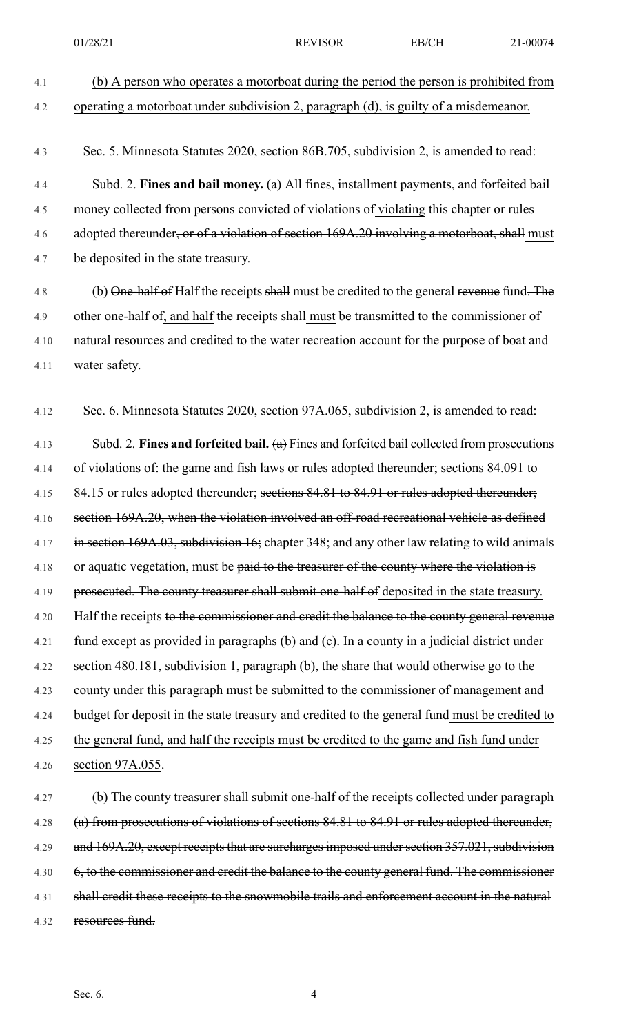4.1 (b) A person who operates a motorboat during the period the person is prohibited from 4.2 operating a motorboat under subdivision 2, paragraph (d), is guilty of a misdemeanor. 4.3 Sec. 5. Minnesota Statutes 2020, section 86B.705, subdivision 2, is amended to read: 4.4 Subd. 2. **Fines and bail money.** (a) All fines, installment payments, and forfeited bail 4.5 money collected from persons convicted of violations of violating this chapter or rules 4.6 adopted thereunder, or of a violation of section 169A.20 involving a motorboat, shall must 4.7 be deposited in the state treasury. 4.8 (b) One-half of Half the receipts shall must be credited to the general revenue fund. The 4.9 other one-half of, and half the receipts shall must be transmitted to the commissioner of 4.10 natural resources and credited to the water recreation account for the purpose of boat and 4.11 water safety. 4.12 Sec. 6. Minnesota Statutes 2020, section 97A.065, subdivision 2, is amended to read: 4.13 Subd. 2. **Fines and forfeited bail.** (a) Fines and forfeited bail collected from prosecutions 4.14 of violations of: the game and fish laws or rules adopted thereunder; sections 84.091 to 4.15 84.15 or rules adopted thereunder; sections 84.81 to 84.91 or rules adopted thereunder; 4.16 section 169A.20, when the violation involved an off-road recreational vehicle as defined 4.17 in section 169A.03, subdivision 16; chapter 348; and any other law relating to wild animals 4.18 or aquatic vegetation, must be paid to the treasurer of the county where the violation is 4.19 prosecuted. The county treasurer shall submit one-half of deposited in the state treasury. 4.20 Half the receipts to the commissioner and credit the balance to the county general revenue 4.21 fund except as provided in paragraphs (b) and (c). In a county in a judicial district under 4.22 section 480.181, subdivision 1, paragraph (b), the share that would otherwise go to the 4.23 county under this paragraph must be submitted to the commissioner of management and 4.24 budget for deposit in the state treasury and credited to the general fund must be credited to 4.25 the general fund, and half the receipts must be credited to the game and fish fund under 4.26 section 97A.055. 4.27 (b) The county treasurer shall submit one-half of the receipts collected under paragraph 4.28 (a) from prosecutions of violations of sections 84.81 to 84.91 or rules adopted thereunder, 4.29 and 169A.20, except receipts that are surcharges imposed under section 357.021, subdivision 4.30 6, to the commissioner and credit the balance to the county general fund. The commissioner 4.31 shall credit these receipts to the snowmobile trails and enforcement account in the natural 01/28/21 REVISOR EB/CH 21-00074

4.32 resources fund.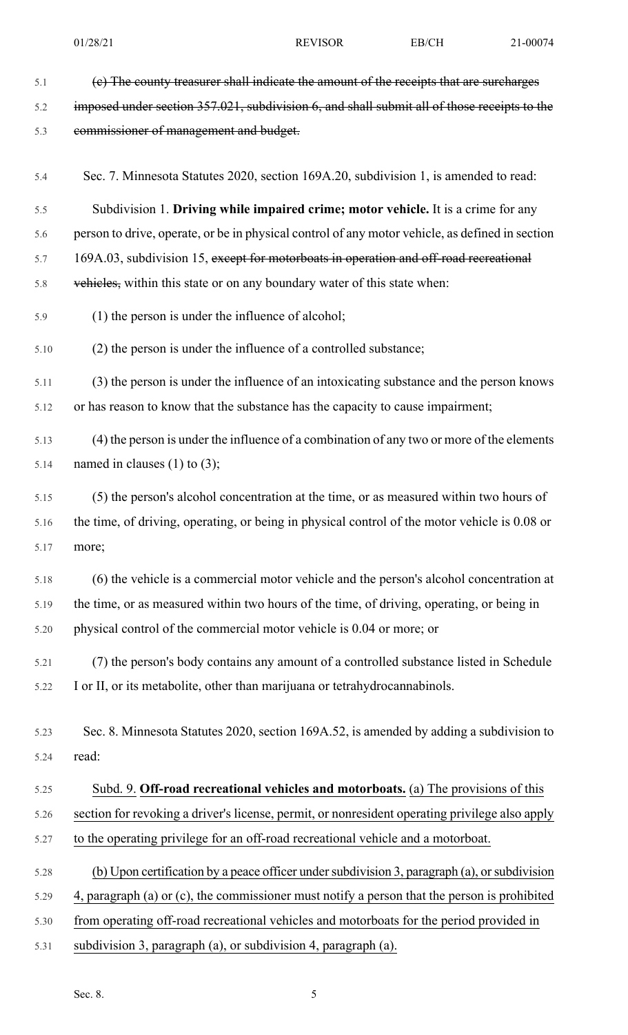| 5.1  | (e) The county treasurer shall indicate the amount of the receipts that are surcharges           |
|------|--------------------------------------------------------------------------------------------------|
| 5.2  | imposed under section 357.021, subdivision 6, and shall submit all of those receipts to the      |
| 5.3  | commissioner of management and budget.                                                           |
| 5.4  | Sec. 7. Minnesota Statutes 2020, section 169A.20, subdivision 1, is amended to read:             |
| 5.5  | Subdivision 1. Driving while impaired crime; motor vehicle. It is a crime for any                |
| 5.6  | person to drive, operate, or be in physical control of any motor vehicle, as defined in section  |
| 5.7  | 169A.03, subdivision 15, except for motorboats in operation and off-road recreational            |
| 5.8  | vehicles, within this state or on any boundary water of this state when:                         |
| 5.9  | (1) the person is under the influence of alcohol;                                                |
| 5.10 | (2) the person is under the influence of a controlled substance;                                 |
| 5.11 | (3) the person is under the influence of an intoxicating substance and the person knows          |
| 5.12 | or has reason to know that the substance has the capacity to cause impairment;                   |
| 5.13 | (4) the person is under the influence of a combination of any two or more of the elements        |
| 5.14 | named in clauses $(1)$ to $(3)$ ;                                                                |
| 5.15 | (5) the person's alcohol concentration at the time, or as measured within two hours of           |
| 5.16 | the time, of driving, operating, or being in physical control of the motor vehicle is 0.08 or    |
| 5.17 | more;                                                                                            |
| 5.18 | (6) the vehicle is a commercial motor vehicle and the person's alcohol concentration at          |
| 5.19 | the time, or as measured within two hours of the time, of driving, operating, or being in        |
| 5.20 | physical control of the commercial motor vehicle is 0.04 or more; or                             |
| 5.21 | (7) the person's body contains any amount of a controlled substance listed in Schedule           |
| 5.22 | I or II, or its metabolite, other than marijuana or tetrahydrocannabinols.                       |
|      |                                                                                                  |
| 5.23 | Sec. 8. Minnesota Statutes 2020, section 169A.52, is amended by adding a subdivision to<br>read: |
| 5.24 |                                                                                                  |
| 5.25 | Subd. 9. Off-road recreational vehicles and motorboats. (a) The provisions of this               |
| 5.26 | section for revoking a driver's license, permit, or nonresident operating privilege also apply   |
| 5.27 | to the operating privilege for an off-road recreational vehicle and a motorboat.                 |
| 5.28 | (b) Upon certification by a peace officer under subdivision 3, paragraph (a), or subdivision     |
| 5.29 | 4, paragraph (a) or (c), the commissioner must notify a person that the person is prohibited     |
| 5.30 | from operating off-road recreational vehicles and motorboats for the period provided in          |
| 5.31 | subdivision 3, paragraph (a), or subdivision 4, paragraph (a).                                   |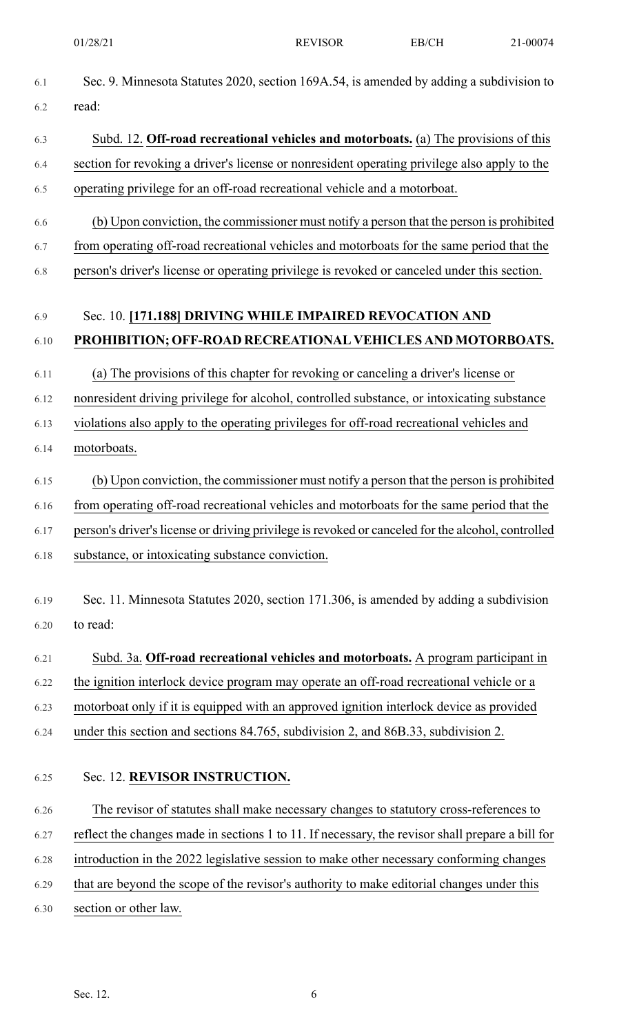| 6.1  | Sec. 9. Minnesota Statutes 2020, section 169A.54, is amended by adding a subdivision to           |
|------|---------------------------------------------------------------------------------------------------|
| 6.2  | read:                                                                                             |
| 6.3  | Subd. 12. Off-road recreational vehicles and motorboats. (a) The provisions of this               |
| 6.4  | section for revoking a driver's license or nonresident operating privilege also apply to the      |
| 6.5  | operating privilege for an off-road recreational vehicle and a motorboat.                         |
| 6.6  | (b) Upon conviction, the commissioner must notify a person that the person is prohibited          |
| 6.7  | from operating off-road recreational vehicles and motorboats for the same period that the         |
| 6.8  | person's driver's license or operating privilege is revoked or canceled under this section.       |
| 6.9  | Sec. 10. [171.188] DRIVING WHILE IMPAIRED REVOCATION AND                                          |
| 6.10 | PROHIBITION; OFF-ROAD RECREATIONAL VEHICLES AND MOTORBOATS.                                       |
| 6.11 | (a) The provisions of this chapter for revoking or canceling a driver's license or                |
|      | nonresident driving privilege for alcohol, controlled substance, or intoxicating substance        |
| 6.12 |                                                                                                   |
| 6.13 | violations also apply to the operating privileges for off-road recreational vehicles and          |
| 6.14 | motorboats.                                                                                       |
| 6.15 | (b) Upon conviction, the commissioner must notify a person that the person is prohibited          |
| 6.16 | from operating off-road recreational vehicles and motorboats for the same period that the         |
| 6.17 | person's driver's license or driving privilege is revoked or canceled for the alcohol, controlled |
| 6.18 | substance, or intoxicating substance conviction.                                                  |
| 6.19 | Sec. 11. Minnesota Statutes 2020, section 171.306, is amended by adding a subdivision             |
| 6.20 | to read:                                                                                          |
|      |                                                                                                   |
| 6.21 | Subd. 3a. Off-road recreational vehicles and motorboats. A program participant in                 |
| 6.22 | the ignition interlock device program may operate an off-road recreational vehicle or a           |
| 6.23 | motorboat only if it is equipped with an approved ignition interlock device as provided           |
| 6.24 | under this section and sections 84.765, subdivision 2, and 86B.33, subdivision 2.                 |
| 6.25 | Sec. 12. REVISOR INSTRUCTION.                                                                     |
| 6.26 | The revisor of statutes shall make necessary changes to statutory cross-references to             |
| 6.27 | reflect the changes made in sections 1 to 11. If necessary, the revisor shall prepare a bill for  |
| 6.28 | introduction in the 2022 legislative session to make other necessary conforming changes           |
| 6.29 | that are beyond the scope of the revisor's authority to make editorial changes under this         |
| 6.30 | section or other law.                                                                             |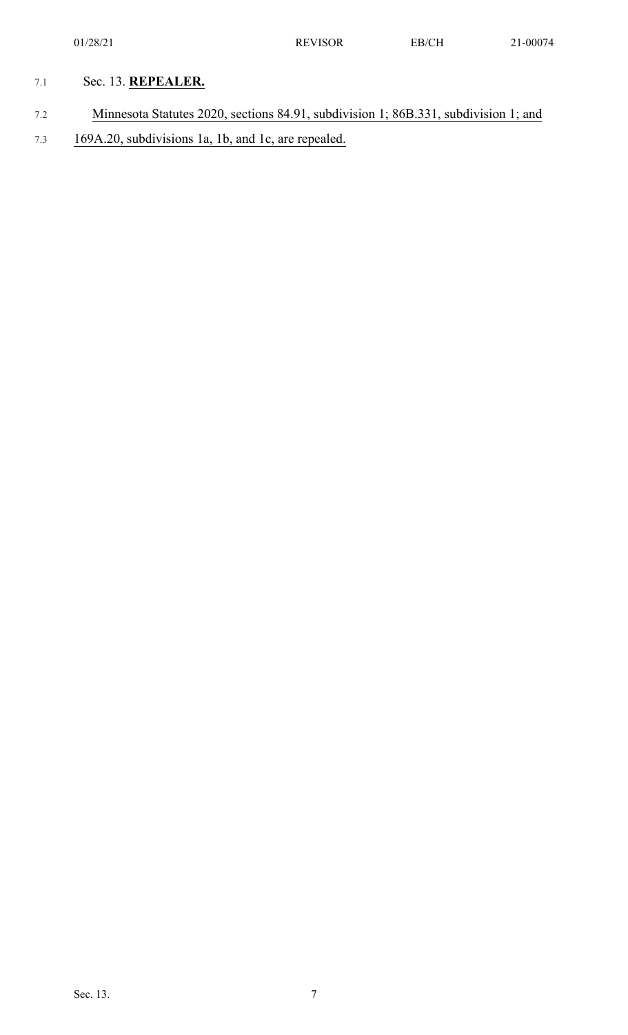## 7.1 Sec. 13. **REPEALER.**

- 7.2 Minnesota Statutes 2020, sections 84.91, subdivision 1; 86B.331, subdivision 1; and
- 7.3 169A.20, subdivisions 1a, 1b, and 1c, are repealed.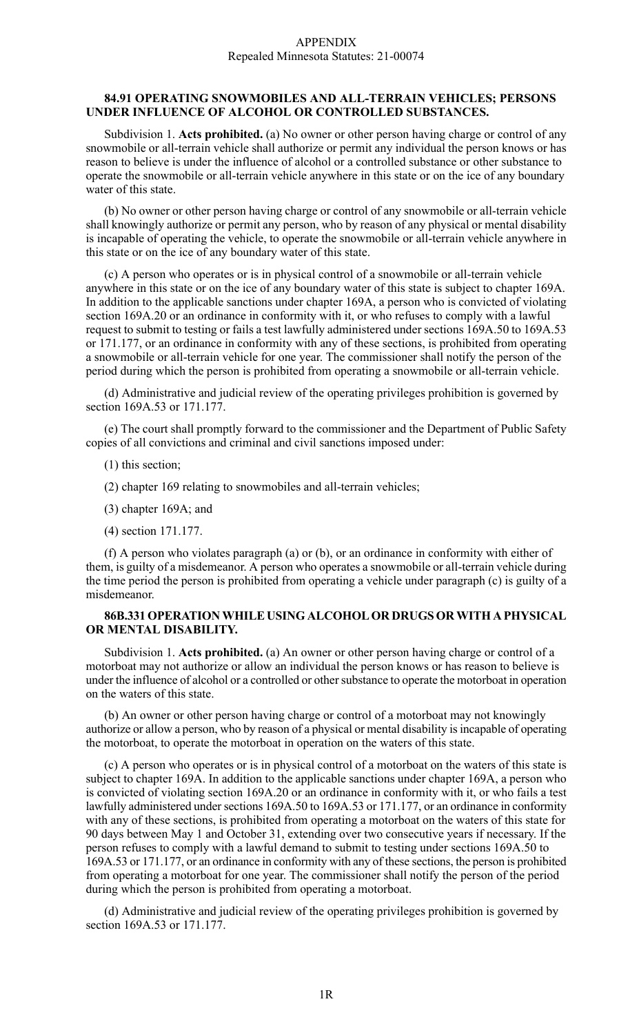#### **84.91 OPERATING SNOWMOBILES AND ALL-TERRAIN VEHICLES; PERSONS UNDER INFLUENCE OF ALCOHOL OR CONTROLLED SUBSTANCES.**

Subdivision 1. **Acts prohibited.** (a) No owner or other person having charge or control of any snowmobile or all-terrain vehicle shall authorize or permit any individual the person knows or has reason to believe is under the influence of alcohol or a controlled substance or other substance to operate the snowmobile or all-terrain vehicle anywhere in this state or on the ice of any boundary water of this state.

(b) No owner or other person having charge or control of any snowmobile or all-terrain vehicle shall knowingly authorize or permit any person, who by reason of any physical or mental disability is incapable of operating the vehicle, to operate the snowmobile or all-terrain vehicle anywhere in this state or on the ice of any boundary water of this state.

(c) A person who operates or is in physical control of a snowmobile or all-terrain vehicle anywhere in this state or on the ice of any boundary water of this state is subject to chapter 169A. In addition to the applicable sanctions under chapter 169A, a person who is convicted of violating section 169A.20 or an ordinance in conformity with it, or who refuses to comply with a lawful request to submit to testing or fails a test lawfully administered under sections 169A.50 to 169A.53 or 171.177, or an ordinance in conformity with any of these sections, is prohibited from operating a snowmobile or all-terrain vehicle for one year. The commissioner shall notify the person of the period during which the person is prohibited from operating a snowmobile or all-terrain vehicle.

(d) Administrative and judicial review of the operating privileges prohibition is governed by section 169A.53 or 171.177.

(e) The court shall promptly forward to the commissioner and the Department of Public Safety copies of all convictions and criminal and civil sanctions imposed under:

- (1) this section;
- (2) chapter 169 relating to snowmobiles and all-terrain vehicles;
- (3) chapter 169A; and
- (4) section 171.177.

(f) A person who violates paragraph (a) or (b), or an ordinance in conformity with either of them, is guilty of a misdemeanor. A person who operates a snowmobile or all-terrain vehicle during the time period the person is prohibited from operating a vehicle under paragraph (c) is guilty of a misdemeanor.

#### **86B.331 OPERATIONWHILE USING ALCOHOL OR DRUGS ORWITH A PHYSICAL OR MENTAL DISABILITY.**

Subdivision 1. **Acts prohibited.** (a) An owner or other person having charge or control of a motorboat may not authorize or allow an individual the person knows or has reason to believe is under the influence of alcohol or a controlled or other substance to operate the motorboat in operation on the waters of this state.

(b) An owner or other person having charge or control of a motorboat may not knowingly authorize or allow a person, who by reason of a physical or mental disability is incapable of operating the motorboat, to operate the motorboat in operation on the waters of this state.

(c) A person who operates or is in physical control of a motorboat on the waters of this state is subject to chapter 169A. In addition to the applicable sanctions under chapter 169A, a person who is convicted of violating section 169A.20 or an ordinance in conformity with it, or who fails a test lawfully administered under sections 169A.50 to 169A.53 or 171.177, or an ordinance in conformity with any of these sections, is prohibited from operating a motorboat on the waters of this state for 90 days between May 1 and October 31, extending over two consecutive years if necessary. If the person refuses to comply with a lawful demand to submit to testing under sections 169A.50 to 169A.53 or 171.177, or an ordinance in conformity with any of these sections, the person is prohibited from operating a motorboat for one year. The commissioner shall notify the person of the period during which the person is prohibited from operating a motorboat.

(d) Administrative and judicial review of the operating privileges prohibition is governed by section 169A.53 or 171.177.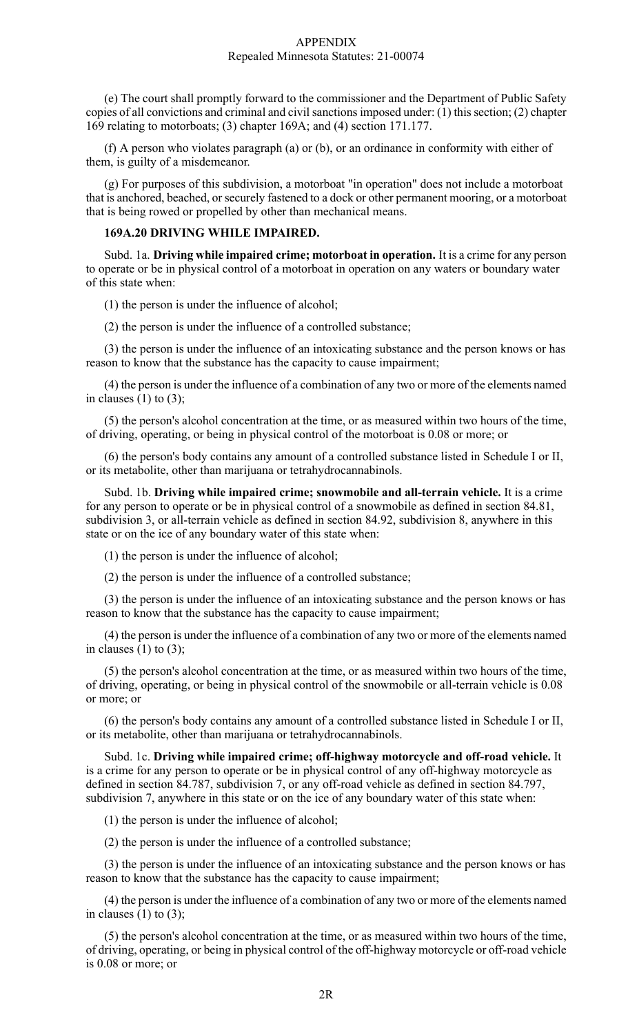#### APPENDIX Repealed Minnesota Statutes: 21-00074

(e) The court shall promptly forward to the commissioner and the Department of Public Safety copies of all convictions and criminal and civil sanctions imposed under:  $(1)$  this section;  $(2)$  chapter 169 relating to motorboats; (3) chapter 169A; and (4) section 171.177.

(f) A person who violates paragraph (a) or (b), or an ordinance in conformity with either of them, is guilty of a misdemeanor.

(g) For purposes of this subdivision, a motorboat "in operation" does not include a motorboat that is anchored, beached, or securely fastened to a dock or other permanent mooring, or a motorboat that is being rowed or propelled by other than mechanical means.

#### **169A.20 DRIVING WHILE IMPAIRED.**

Subd. 1a. **Driving while impaired crime; motorboat in operation.** It is a crime for any person to operate or be in physical control of a motorboat in operation on any waters or boundary water of this state when:

(1) the person is under the influence of alcohol;

(2) the person is under the influence of a controlled substance;

(3) the person is under the influence of an intoxicating substance and the person knows or has reason to know that the substance has the capacity to cause impairment;

(4) the person is under the influence of a combination of any two or more of the elements named in clauses  $(1)$  to  $(3)$ ;

(5) the person's alcohol concentration at the time, or as measured within two hours of the time, of driving, operating, or being in physical control of the motorboat is 0.08 or more; or

(6) the person's body contains any amount of a controlled substance listed in Schedule I or II, or its metabolite, other than marijuana or tetrahydrocannabinols.

Subd. 1b. **Driving while impaired crime; snowmobile and all-terrain vehicle.** It is a crime for any person to operate or be in physical control of a snowmobile as defined in section 84.81, subdivision 3, or all-terrain vehicle as defined in section 84.92, subdivision 8, anywhere in this state or on the ice of any boundary water of this state when:

(1) the person is under the influence of alcohol;

(2) the person is under the influence of a controlled substance;

(3) the person is under the influence of an intoxicating substance and the person knows or has reason to know that the substance has the capacity to cause impairment;

(4) the person is under the influence of a combination of any two or more of the elements named in clauses  $(1)$  to  $(3)$ ;

(5) the person's alcohol concentration at the time, or as measured within two hours of the time, of driving, operating, or being in physical control of the snowmobile or all-terrain vehicle is 0.08 or more; or

(6) the person's body contains any amount of a controlled substance listed in Schedule I or II, or its metabolite, other than marijuana or tetrahydrocannabinols.

Subd. 1c. **Driving while impaired crime; off-highway motorcycle and off-road vehicle.** It is a crime for any person to operate or be in physical control of any off-highway motorcycle as defined in section 84.787, subdivision 7, or any off-road vehicle as defined in section 84.797, subdivision 7, anywhere in this state or on the ice of any boundary water of this state when:

(1) the person is under the influence of alcohol;

(2) the person is under the influence of a controlled substance;

(3) the person is under the influence of an intoxicating substance and the person knows or has reason to know that the substance has the capacity to cause impairment;

(4) the person is under the influence of a combination of any two or more of the elements named in clauses  $(1)$  to  $(3)$ ;

(5) the person's alcohol concentration at the time, or as measured within two hours of the time, of driving, operating, or being in physical control of the off-highway motorcycle or off-road vehicle is 0.08 or more; or